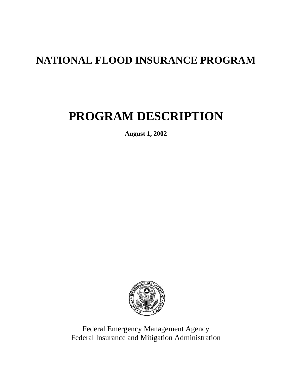## **NATIONAL FLOOD INSURANCE PROGRAM**

# **PROGRAM DESCRIPTION**

**August 1, 2002** 



Federal Emergency Management Agency Federal Insurance and Mitigation Administration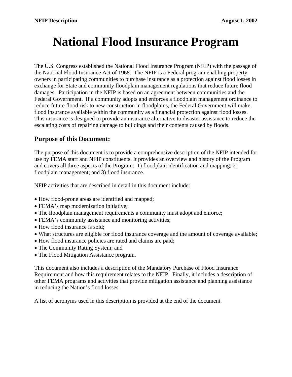# **National Flood Insurance Program**

The U.S. Congress established the National Flood Insurance Program (NFIP) with the passage of the National Flood Insurance Act of 1968. The NFIP is a Federal program enabling property owners in participating communities to purchase insurance as a protection against flood losses in exchange for State and community floodplain management regulations that reduce future flood damages. Participation in the NFIP is based on an agreement between communities and the Federal Government. If a community adopts and enforces a floodplain management ordinance to reduce future flood risk to new construction in floodplains, the Federal Government will make flood insurance available within the community as a financial protection against flood losses. This insurance is designed to provide an insurance alternative to disaster assistance to reduce the escalating costs of repairing damage to buildings and their contents caused by floods.

### **Purpose of this Document:**

The purpose of this document is to provide a comprehensive description of the NFIP intended for use by FEMA staff and NFIP constituents. It provides an overview and history of the Program and covers all three aspects of the Program: 1) floodplain identification and mapping; 2) floodplain management; and 3) flood insurance.

NFIP activities that are described in detail in this document include:

- How flood-prone areas are identified and mapped;
- FEMA's map modernization initiative;
- The floodplain management requirements a community must adopt and enforce;
- FEMA's community assistance and monitoring activities;
- How flood insurance is sold;
- What structures are eligible for flood insurance coverage and the amount of coverage available;
- How flood insurance policies are rated and claims are paid;
- The Community Rating System; and
- The Flood Mitigation Assistance program.

This document also includes a description of the Mandatory Purchase of Flood Insurance Requirement and how this requirement relates to the NFIP. Finally, it includes a description of other FEMA programs and activities that provide mitigation assistance and planning assistance in reducing the Nation's flood losses.

A list of acronyms used in this description is provided at the end of the document.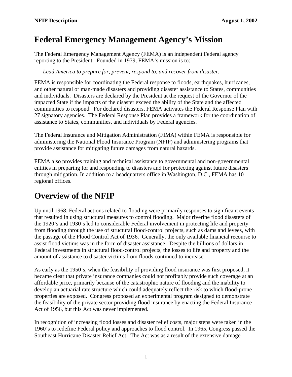### <span id="page-4-0"></span>**Federal Emergency Management Agency's Mission**

The Federal Emergency Management Agency (FEMA) is an independent Federal agency reporting to the President. Founded in 1979, FEMA's mission is to:

*Lead America to prepare for, prevent, respond to, and recover from disaster.* 

FEMA is responsible for coordinating the Federal response to floods, earthquakes, hurricanes, and other natural or man-made disasters and providing disaster assistance to States, communities and individuals. Disasters are declared by the President at the request of the Governor of the impacted State if the impacts of the disaster exceed the ability of the State and the affected communities to respond. For declared disasters, FEMA activates the Federal Response Plan with 27 signatory agencies. The Federal Response Plan provides a framework for the coordination of assistance to States, communities, and individuals by Federal agencies.

The Federal Insurance and Mitigation Administration (FIMA) within FEMA is responsible for administering the National Flood Insurance Program (NFIP) and administering programs that provide assistance for mitigating future damages from natural hazards.

FEMA also provides training and technical assistance to governmental and non-governmental entities in preparing for and responding to disasters and for protecting against future disasters through mitigation. In addition to a headquarters office in Washington, D.C., FEMA has 10 regional offices.

### **Overview of the NFIP**

Up until 1968, Federal actions related to flooding were primarily responses to significant events that resulted in using structural measures to control flooding. Major riverine flood disasters of the 1920's and 1930's led to considerable Federal involvement in protecting life and property from flooding through the use of structural flood-control projects, such as dams and levees, with the passage of the Flood Control Act of 1936. Generally, the only available financial recourse to assist flood victims was in the form of disaster assistance. Despite the billions of dollars in Federal investments in structural flood-control projects, the losses to life and property and the amount of assistance to disaster victims from floods continued to increase.

As early as the 1950's, when the feasibility of providing flood insurance was first proposed, it became clear that private insurance companies could not profitably provide such coverage at an affordable price, primarily because of the catastrophic nature of flooding and the inability to develop an actuarial rate structure which could adequately reflect the risk to which flood-prone properties are exposed. Congress proposed an experimental program designed to demonstrate the feasibility of the private sector providing flood insurance by enacting the Federal Insurance Act of 1956, but this Act was never implemented.

In recognition of increasing flood losses and disaster relief costs, major steps were taken in the 1960's to redefine Federal policy and approaches to flood control. In 1965, Congress passed the Southeast Hurricane Disaster Relief Act. The Act was as a result of the extensive damage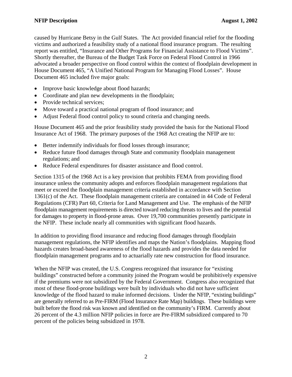caused by Hurricane Betsy in the Gulf States. The Act provided financial relief for the flooding victims and authorized a feasibility study of a national flood insurance program. The resulting report was entitled, "Insurance and Other Programs for Financial Assistance to Flood Victims". Shortly thereafter, the Bureau of the Budget Task Force on Federal Flood Control in 1966 advocated a broader perspective on flood control within the context of floodplain development in House Document 465, "A Unified National Program for Managing Flood Losses". House Document 465 included five major goals:

- Improve basic knowledge about flood hazards;
- Coordinate and plan new developments in the floodplain;
- Provide technical services;
- Move toward a practical national program of flood insurance; and
- Adjust Federal flood control policy to sound criteria and changing needs.

House Document 465 and the prior feasibility study provided the basis for the National Flood Insurance Act of 1968. The primary purposes of the 1968 Act creating the NFIP are to:

- Better indemnify individuals for flood losses through insurance;
- Reduce future flood damages through State and community floodplain management regulations; and
- Reduce Federal expenditures for disaster assistance and flood control.

Section 1315 of the 1968 Act is a key provision that prohibits FEMA from providing flood insurance unless the community adopts and enforces floodplain management regulations that meet or exceed the floodplain management criteria established in accordance with Section 1361(c) of the Act. These floodplain management criteria are contained in 44 Code of Federal Regulations (CFR) Part 60, Criteria for Land Management and Use. The emphasis of the NFIP floodplain management requirements is directed toward reducing threats to lives and the potential for damages to property in flood-prone areas. Over 19,700 communities presently participate in the NFIP. These include nearly all communities with significant flood hazards.

In addition to providing flood insurance and reducing flood damages through floodplain management regulations, the NFIP identifies and maps the Nation's floodplains. Mapping flood hazards creates broad-based awareness of the flood hazards and provides the data needed for floodplain management programs and to actuarially rate new construction for flood insurance.

When the NFIP was created, the U.S. Congress recognized that insurance for "existing buildings" constructed before a community joined the Program would be prohibitively expensive if the premiums were not subsidized by the Federal Government. Congress also recognized that most of these flood-prone buildings were built by individuals who did not have sufficient knowledge of the flood hazard to make informed decisions. Under the NFIP, "existing buildings" are generally referred to as Pre-FIRM (Flood Insurance Rate Map) buildings. These buildings were built before the flood risk was known and identified on the community's FIRM. Currently about 26 percent of the 4.3 million NFIP policies in force are Pre-FIRM subsidized compared to 70 percent of the policies being subsidized in 1978.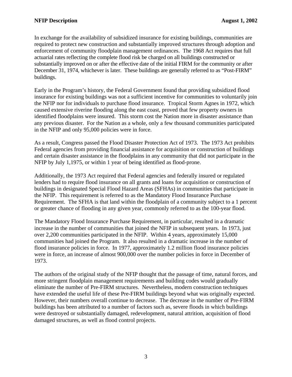In exchange for the availability of subsidized insurance for existing buildings, communities are required to protect new construction and substantially improved structures through adoption and enforcement of community floodplain management ordinances. The 1968 Act requires that full actuarial rates reflecting the complete flood risk be charged on all buildings constructed or substantially improved on or after the effective date of the initial FIRM for the community or after December 31, 1974, whichever is later. These buildings are generally referred to as "Post-FIRM" buildings.

Early in the Program's history, the Federal Government found that providing subsidized flood insurance for existing buildings was not a sufficient incentive for communities to voluntarily join the NFIP nor for individuals to purchase flood insurance. Tropical Storm Agnes in 1972, which caused extensive riverine flooding along the east coast, proved that few property owners in identified floodplains were insured. This storm cost the Nation more in disaster assistance than any previous disaster. For the Nation as a whole, only a few thousand communities participated in the NFIP and only 95,000 policies were in force.

As a result, Congress passed the Flood Disaster Protection Act of 1973. The 1973 Act prohibits Federal agencies from providing financial assistance for acquisition or construction of buildings and certain disaster assistance in the floodplains in any community that did not participate in the NFIP by July 1,1975, or within 1 year of being identified as flood-prone.

Additionally, the 1973 Act required that Federal agencies and federally insured or regulated lenders had to require flood insurance on all grants and loans for acquisition or construction of buildings in designated Special Flood Hazard Areas (SFHAs) in communities that participate in the NFIP. This requirement is referred to as the Mandatory Flood Insurance Purchase Requirement. The SFHA is that land within the floodplain of a community subject to a 1 percent or greater chance of flooding in any given year, commonly referred to as the 100-year flood.

The Mandatory Flood Insurance Purchase Requirement, in particular, resulted in a dramatic increase in the number of communities that joined the NFIP in subsequent years. In 1973, just over 2,200 communities participated in the NFIP. Within 4 years, approximately 15,000 communities had joined the Program. It also resulted in a dramatic increase in the number of flood insurance policies in force. In 1977, approximately 1.2 million flood insurance policies were in force, an increase of almost 900,000 over the number policies in force in December of 1973.

The authors of the original study of the NFIP thought that the passage of time, natural forces, and more stringent floodplain management requirements and building codes would gradually eliminate the number of Pre-FIRM structures. Nevertheless, modern construction techniques have extended the useful life of these Pre-FIRM buildings beyond what was originally expected. However, their numbers overall continue to decrease. The decrease in the number of Pre-FIRM buildings has been attributed to a number of factors such as, severe floods in which buildings were destroyed or substantially damaged, redevelopment, natural attrition, acquisition of flood damaged structures, as well as flood control projects.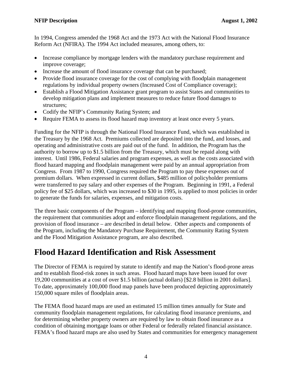<span id="page-7-0"></span>In 1994, Congress amended the 1968 Act and the 1973 Act with the National Flood Insurance Reform Act (NFIRA). The 1994 Act included measures, among others, to:

- Increase compliance by mortgage lenders with the mandatory purchase requirement and improve coverage;
- Increase the amount of flood insurance coverage that can be purchased;
- Provide flood insurance coverage for the cost of complying with floodplain management regulations by individual property owners (Increased Cost of Compliance coverage);
- Establish a Flood Mitigation Assistance grant program to assist States and communities to develop mitigation plans and implement measures to reduce future flood damages to structures;
- Codify the NFIP's Community Rating System; and
- Require FEMA to assess its flood hazard map inventory at least once every 5 years.

Funding for the NFIP is through the National Flood Insurance Fund, which was established in the Treasury by the 1968 Act. Premiums collected are deposited into the fund, and losses, and operating and administrative costs are paid out of the fund. In addition, the Program has the authority to borrow up to \$1.5 billion from the Treasury, which must be repaid along with interest. Until 1986, Federal salaries and program expenses, as well as the costs associated with flood hazard mapping and floodplain management were paid by an annual appropriation from Congress. From 1987 to 1990, Congress required the Program to pay these expenses out of premium dollars. When expressed in current dollars, \$485 million of policyholder premiums were transferred to pay salary and other expenses of the Program. Beginning in 1991, a Federal policy fee of \$25 dollars, which was increased to \$30 in 1995, is applied to most policies in order to generate the funds for salaries, expenses, and mitigation costs.

The three basic components of the Program – identifying and mapping flood-prone communities, the requirement that communities adopt and enforce floodplain management regulations, and the provision of flood insurance – are described in detail below. Other aspects and components of the Program, including the Mandatory Purchase Requirement, the Community Rating System and the Flood Mitigation Assistance program, are also described.

### **Flood Hazard Identification and Risk Assessment**

The Director of FEMA is required by statute to identify and map the Nation's flood-prone areas and to establish flood-risk zones in such areas. Flood hazard maps have been issued for over 19,200 communities at a cost of over \$1.5 billion (actual dollars) [\$2.8 billion in 2001 dollars]. To date, approximately 100,000 flood map panels have been produced depicting approximately 150,000 square miles of floodplain areas.

The FEMA flood hazard maps are used an estimated 15 million times annually for State and community floodplain management regulations, for calculating flood insurance premiums, and for determining whether property owners are required by law to obtain flood insurance as a condition of obtaining mortgage loans or other Federal or federally related financial assistance. FEMA's flood hazard maps are also used by States and communities for emergency management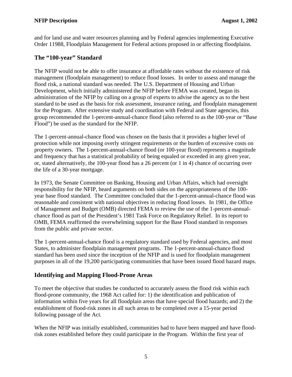<span id="page-8-0"></span>and for land use and water resources planning and by Federal agencies implementing Executive Order 11988, Floodplain Management for Federal actions proposed in or affecting floodplains.

### **The "100-year" Standard**

The NFIP would not be able to offer insurance at affordable rates without the existence of risk management (floodplain management) to reduce flood losses. In order to assess and manage the flood risk, a national standard was needed. The U.S. Department of Housing and Urban Development, which initially administered the NFIP before FEMA was created, began its administration of the NFIP by calling on a group of experts to advise the agency as to the best standard to be used as the basis for risk assessment, insurance rating, and floodplain management for the Program. After extensive study and coordination with Federal and State agencies, this group recommended the 1-percent-annual-chance flood (also referred to as the 100-year or "Base Flood") be used as the standard for the NFIP.

The 1-percent-annual-chance flood was chosen on the basis that it provides a higher level of protection while not imposing overly stringent requirements or the burden of excessive costs on property owners. The 1-percent-annual-chance flood (or 100-year flood) represents a magnitude and frequency that has a statistical probability of being equaled or exceeded in any given year, or, stated alternatively, the 100-year flood has a 26 percent (or 1 in 4) chance of occurring over the life of a 30-year mortgage.

In 1973, the Senate Committee on Banking, Housing and Urban Affairs, which had oversight responsibility for the NFIP, heard arguments on both sides on the appropriateness of the 100 year base flood standard. The Committee concluded that the 1-percent-annual-chance flood was reasonable and consistent with national objectives in reducing flood losses. In 1981, the Office of Management and Budget (OMB) directed FEMA to review the use of the 1-percent-annualchance flood as part of the President's 1981 Task Force on Regulatory Relief. In its report to OMB, FEMA reaffirmed the overwhelming support for the Base Flood standard in responses from the public and private sector.

The 1-percent-annual-chance flood is a regulatory standard used by Federal agencies, and most States, to administer floodplain management programs. The 1-percent-annual-chance flood standard has been used since the inception of the NFIP and is used for floodplain management purposes in all of the 19,200 participating communities that have been issued flood hazard maps.

### **Identifying and Mapping Flood-Prone Areas**

To meet the objective that studies be conducted to accurately assess the flood risk within each flood-prone community, the 1968 Act called for: 1) the identification and publication of information within five years for all floodplain areas that have special flood hazards; and 2) the establishment of flood-risk zones in all such areas to be completed over a 15-year period following passage of the Act.

When the NFIP was initially established, communities had to have been mapped and have floodrisk zones established before they could participate in the Program. Within the first year of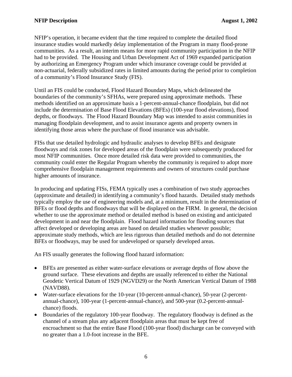NFIP's operation, it became evident that the time required to complete the detailed flood insurance studies would markedly delay implementation of the Program in many flood-prone communities. As a result, an interim means for more rapid community participation in the NFIP had to be provided. The Housing and Urban Development Act of 1969 expanded participation by authorizing an Emergency Program under which insurance coverage could be provided at non-actuarial, federally subsidized rates in limited amounts during the period prior to completion of a community's Flood Insurance Study (FIS).

Until an FIS could be conducted, Flood Hazard Boundary Maps, which delineated the boundaries of the community's SFHAs, were prepared using approximate methods. These methods identified on an approximate basis a 1-percent-annual-chance floodplain, but did not include the determination of Base Flood Elevations (BFEs) (100-year flood elevations), flood depths, or floodways. The Flood Hazard Boundary Map was intended to assist communities in managing floodplain development, and to assist insurance agents and property owners in identifying those areas where the purchase of flood insurance was advisable.

FISs that use detailed hydrologic and hydraulic analyses to develop BFEs and designate floodways and risk zones for developed areas of the floodplain were subsequently produced for most NFIP communities. Once more detailed risk data were provided to communities, the community could enter the Regular Program whereby the community is required to adopt more comprehensive floodplain management requirements and owners of structures could purchase higher amounts of insurance.

In producing and updating FISs, FEMA typically uses a combination of two study approaches (approximate and detailed) in identifying a community's flood hazards. Detailed study methods typically employ the use of engineering models and, at a minimum, result in the determination of BFEs or flood depths and floodways that will be displayed on the FIRM. In general, the decision whether to use the approximate method or detailed method is based on existing and anticipated development in and near the floodplain. Flood hazard information for flooding sources that affect developed or developing areas are based on detailed studies whenever possible; approximate study methods, which are less rigorous than detailed methods and do not determine BFEs or floodways, may be used for undeveloped or sparsely developed areas.

An FIS usually generates the following flood hazard information:

- BFEs are presented as either water-surface elevations or average depths of flow above the ground surface. These elevations and depths are usually referenced to either the National Geodetic Vertical Datum of 1929 (NGVD29) or the North American Vertical Datum of 1988 (NAVD88).
- Water-surface elevations for the 10-year (10-percent-annual-chance), 50-year (2-percentannual-chance), 100-year (1-percent-annual-chance), and 500-year (0.2-percent-annualchance) floods.
- Boundaries of the regulatory 100-year floodway. The regulatory floodway is defined as the channel of a stream plus any adjacent floodplain areas that must be kept free of encroachment so that the entire Base Flood (100-year flood) discharge can be conveyed with no greater than a 1.0-foot increase in the BFE.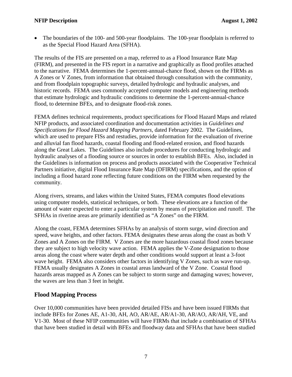<span id="page-10-0"></span>• The boundaries of the 100- and 500-year floodplains. The 100-year floodplain is referred to as the Special Flood Hazard Area (SFHA).

The results of the FIS are presented on a map, referred to as a Flood Insurance Rate Map (FIRM), and presented in the FIS report in a narrative and graphically as flood profiles attached to the narrative. FEMA determines the 1-percent-annual-chance flood, shown on the FIRMs as A Zones or V Zones, from information that obtained through consultation with the community, and from floodplain topographic surveys, detailed hydrologic and hydraulic analyses, and historic records. FEMA uses commonly accepted computer models and engineering methods that estimate hydrologic and hydraulic conditions to determine the 1-percent-annual-chance flood, to determine BFEs, and to designate flood-risk zones.

FEMA defines technical requirements, product specifications for Flood Hazard Maps and related NFIP products, and associated coordination and documentation activities in *Guidelines and Specifications for Flood Hazard Mapping Partners*, dated February 2002. The Guidelines, which are used to prepare FISs and restudies, provide information for the evaluation of riverine and alluvial fan flood hazards, coastal flooding and flood-related erosion, and flood hazards along the Great Lakes. The Guidelines also include procedures for conducting hydrologic and hydraulic analyses of a flooding source or sources in order to establish BFEs. Also, included in the Guidelines is information on process and products associated with the Cooperative Technical Partners initiative, digital Flood Insurance Rate Map (DFIRM) specifications, and the option of including a flood hazard zone reflecting future conditions on the FIRM when requested by the community.

Along rivers, streams, and lakes within the United States, FEMA computes flood elevations using computer models, statistical techniques, or both. These elevations are a function of the amount of water expected to enter a particular system by means of precipitation and runoff. The SFHAs in riverine areas are primarily identified as "A Zones" on the FIRM.

Along the coast, FEMA determines SFHAs by an analysis of storm surge, wind direction and speed, wave heights, and other factors. FEMA designates these areas along the coast as both V Zones and A Zones on the FIRM. V Zones are the more hazardous coastal flood zones because they are subject to high velocity wave action. FEMA applies the V-Zone designation to those areas along the coast where water depth and other conditions would support at least a 3-foot wave height. FEMA also considers other factors in identifying V Zones, such as wave run-up. FEMA usually designates A Zones in coastal areas landward of the V Zone. Coastal flood hazards areas mapped as A Zones can be subject to storm surge and damaging waves; however, the waves are less than 3 feet in height.

### **Flood Mapping Process**

Over 10,000 communities have been provided detailed FISs and have been issued FIRMs that include BFEs for Zones AE, A1-30, AH, AO, AR/AE, AR/A1-30, AR/AO, AR/AH, VE, and V1-30. Most of these NFIP communities will have FIRMs that include a combination of SFHAs that have been studied in detail with BFEs and floodway data and SFHAs that have been studied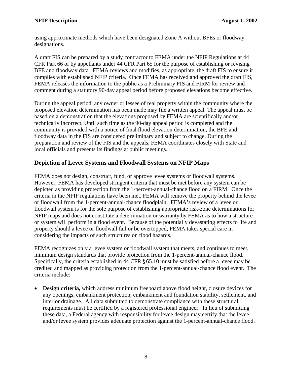<span id="page-11-0"></span>using approximate methods which have been designated Zone A without BFEs or floodway designations.

A draft FIS can be prepared by a study contractor to FEMA under the NFIP Regulations at 44 CFR Part 66 or by appellants under 44 CFR Part 65 for the purpose of establishing or revising BFE and floodway data. FEMA reviews and modifies, as appropriate, the draft FIS to ensure it complies with established NFIP criteria. Once FEMA has received and approved the draft FIS, FEMA releases the information to the public as a Preliminary FIS and FIRM for review and comment during a statutory 90-day appeal period before proposed elevations become effective.

During the appeal period, any owner or lessee of real property within the community where the proposed elevation determination has been made may file a written appeal. The appeal must be based on a demonstration that the elevations proposed by FEMA are scientifically and/or technically incorrect. Until such time as the 90-day appeal period is completed and the community is provided with a notice of final flood elevation determination, the BFE and floodway data in the FIS are considered preliminary and subject to change. During the preparation and review of the FIS and the appeals, FEMA coordinates closely with State and local officials and presents its findings at public meetings.

### **Depiction of Levee Systems and Floodwall Systems on NFIP Maps**

FEMA does not design, construct, fund, or approve levee systems or floodwall systems. However, FEMA has developed stringent criteria that must be met before any system can be depicted as providing protection from the 1-percent-annual-chance flood on a FIRM. Once the criteria in the NFIP regulations have been met, FEMA will remove the property behind the levee or floodwall from the 1-percent-annual-chance floodplain. FEMA's review of a levee or floodwall system is for the sole purpose of establishing appropriate risk-zone determinations for NFIP maps and does not constitute a determination or warranty by FEMA as to how a structure or system will perform in a flood event. Because of the potentially devastating effects to life and property should a levee or floodwall fail or be overtopped, FEMA takes special care in considering the impacts of such structures on flood hazards.

FEMA recognizes only a levee system or floodwall system that meets, and continues to meet, minimum design standards that provide protection from the 1-percent-annual-chance flood. Specifically, the criteria established in 44 CFR §65.10 must be satisfied before a levee may be credited and mapped as providing protection from the 1-percent-annual-chance flood event. The criteria include:

• **Design criteria,** which address minimum freeboard above flood height, closure devices for any openings, embankment protection, embankment and foundation stability, settlement, and interior drainage. All data submitted to demonstrate compliance with these structural requirements must be certified by a registered professional engineer. In lieu of submitting these data, a Federal agency with responsibility for levee design may certify that the levee and/or levee system provides adequate protection against the 1-percent-annual-chance flood.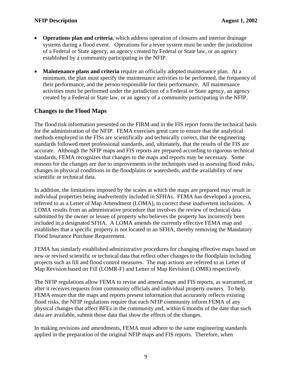- <span id="page-12-0"></span>• **Operations plan and criteria**, which address operation of closures and interior drainage systems during a flood event. Operations for a levee system must be under the jurisdiction of a Federal or State agency, an agency created by Federal or State law, or an agency established by a community participating in the NFIP.
- **Maintenance plans and criteria** require an officially adopted maintenance plan. At a minimum, the plan must specify the maintenance activities to be performed, the frequency of their performance, and the person responsible for their performance. All maintenance activities must be performed under the jurisdiction of a Federal or State agency, an agency created by a Federal or State law, or an agency of a community participating in the NFIP.

### **Changes to the Flood Maps**

The flood risk information presented on the FIRM and in the FIS report forms the technical basis for the administration of the NFIP. FEMA exercises great care to ensure that the analytical methods employed in the FISs are scientifically and technically correct, that the engineering standards followed meet professional standards, and, ultimately, that the results of the FIS are accurate. Although the NFIP maps and FIS reports are prepared according to rigorous technical standards, FEMA recognizes that changes to the maps and reports may be necessary. Some reasons for the changes are due to improvements in the techniques used in assessing flood risks, changes in physical conditions in the floodplains or watersheds, and the availability of new scientific or technical data.

In addition, the limitations imposed by the scales at which the maps are prepared may result in individual properties being inadvertently included in SFHAs. FEMA has developed a process, referred to as a Letter of Map Amendment (LOMA), to correct these inadvertent inclusions. A LOMA results from an administrative procedure that involves the review of technical data submitted by the owner or lessee of property who believes the property has incorrectly been included in a designated SFHA. A LOMA amends the currently effective FEMA map and establishes that a specific property is not located in an SFHA, thereby removing the Mandatory Flood Insurance Purchase Requirement.

FEMA has similarly established administrative procedures for changing effective maps based on new or revised scientific or technical data that reflect other changes to the floodplain including projects such as fill and flood control measures. The map actions are referred to as Letter of Map Revision based on Fill (LOMR-F) and Letter of Map Revision (LOMR) respectively.

The NFIP regulations allow FEMA to revise and amend maps and FIS reports, as warranted, or after it receives requests from community officials and individual property owners. To help FEMA ensure that the maps and reports present information that accurately reflects existing flood risks, the NFIP regulations require that each NFIP community inform FEMA of any physical changes that affect BFEs in the community and, within 6 months of the date that such data are available, submit those data that show the effects of the changes.

In making revisions and amendments, FEMA must adhere to the same engineering standards applied in the preparation of the original NFIP maps and FIS reports. Therefore, when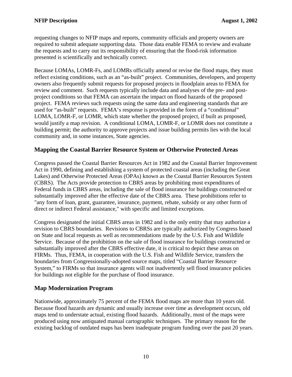<span id="page-13-0"></span>requesting changes to NFIP maps and reports, community officials and property owners are required to submit adequate supporting data. Those data enable FEMA to review and evaluate the requests and to carry out its responsibility of ensuring that the flood-risk information presented is scientifically and technically correct.

Because LOMAs, LOMR-Fs, and LOMRs officially amend or revise the flood maps, they must reflect existing conditions, such as an "as-built" project. Communities, developers, and property owners also frequently submit requests for proposed projects in floodplain areas to FEMA for review and comment. Such requests typically include data and analyses of the pre- and postproject conditions so that FEMA can ascertain the impact on flood hazards of the proposed project. FEMA reviews such requests using the same data and engineering standards that are used for "as-built" requests. FEMA's response is provided in the form of a "conditional" LOMA, LOMR-F, or LOMR, which state whether the proposed project, if built as proposed, would justify a map revision. A conditional LOMA, LOMR-F, or LOMR does not constitute a building permit; the authority to approve projects and issue building permits lies with the local community and, in some instances, State agencies.

### **Mapping the Coastal Barrier Resource System or Otherwise Protected Areas**

Congress passed the Coastal Barrier Resources Act in 1982 and the Coastal Barrier Improvement Act in 1990, defining and establishing a system of protected coastal areas (including the Great Lakes) and Otherwise Protected Areas (OPAs) known as the Coastal Barrier Resources System (CBRS). The Acts provide protection to CBRS areas by prohibiting most expenditures of Federal funds in CBRS areas, including the sale of flood insurance for buildings constructed or substantially improved after the effective date of the CBRS area. These prohibitions refer to "any form of loan, grant, guarantee, insurance, payment, rebate, subsidy or any other form of direct or indirect Federal assistance," with specific and limited exceptions.

Congress designated the initial CBRS areas in 1982 and is the only entity that may authorize a revision to CBRS boundaries. Revisions to CBRSs are typically authorized by Congress based on State and local requests as well as recommendations made by the U.S. Fish and Wildlife Service. Because of the prohibition on the sale of flood insurance for buildings constructed or substantially improved after the CBRS effective date, it is critical to depict these areas on FIRMs. Thus, FEMA, in cooperation with the U.S. Fish and Wildlife Service, transfers the boundaries from Congressionally-adopted source maps, titled "Coastal Barrier Resource System," to FIRMs so that insurance agents will not inadvertently sell flood insurance policies for buildings not eligible for the purchase of flood insurance.

### **Map Modernization Program**

Nationwide, approximately 75 percent of the FEMA flood maps are more than 10 years old. Because flood hazards are dynamic and usually increase over time as development occurs, old maps tend to understate actual, existing flood hazards. Additionally, most of the maps were produced using now antiquated manual cartographic techniques. The primary reason for the existing backlog of outdated maps has been inadequate program funding over the past 20 years.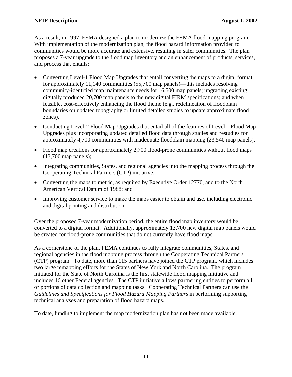As a result, in 1997, FEMA designed a plan to modernize the FEMA flood-mapping program. With implementation of the modernization plan, the flood hazard information provided to communities would be more accurate and extensive, resulting in safer communities. The plan proposes a 7-year upgrade to the flood map inventory and an enhancement of products, services, and process that entails:

- Converting Level-1 Flood Map Upgrades that entail converting the maps to a digital format for approximately 11,140 communities (55,700 map panels)—this includes resolving community-identified map maintenance needs for 16,500 map panels; upgrading existing digitally produced 20,700 map panels to the new digital FIRM specifications; and when feasible, cost-effectively enhancing the flood theme (e.g., redelineation of floodplain boundaries on updated topography or limited detailed studies to update approximate flood zones).
- Conducting Level-2 Flood Map Upgrades that entail all of the features of Level 1 Flood Map Upgrades plus incorporating updated detailed flood data through studies and restudies for approximately 4,700 communities with inadequate floodplain mapping (23,540 map panels);
- Flood map creations for approximately 2,700 flood-prone communities without flood maps (13,700 map panels);
- Integrating communities, States, and regional agencies into the mapping process through the Cooperating Technical Partners (CTP) initiative;
- Converting the maps to metric, as required by Executive Order 12770, and to the North American Vertical Datum of 1988; and
- Improving customer service to make the maps easier to obtain and use, including electronic and digital printing and distribution.

Over the proposed 7-year modernization period, the entire flood map inventory would be converted to a digital format. Additionally, approximately 13,700 new digital map panels would be created for flood-prone communities that do not currently have flood maps.

As a cornerstone of the plan, FEMA continues to fully integrate communities, States, and regional agencies in the flood mapping process through the Cooperating Technical Partners (CTP) program. To date, more than 115 partners have joined the CTP program, which includes two large remapping efforts for the States of New York and North Carolina. The program initiated for the State of North Carolina is the first statewide flood mapping initiative and includes 16 other Federal agencies. The CTP initiative allows partnering entities to perform all or portions of data collection and mapping tasks. Cooperating Technical Partners can use the *Guidelines and Specifications for Flood Hazard Mapping Partners* in performing supporting technical analyses and preparation of flood hazard maps.

To date, funding to implement the map modernization plan has not been made available.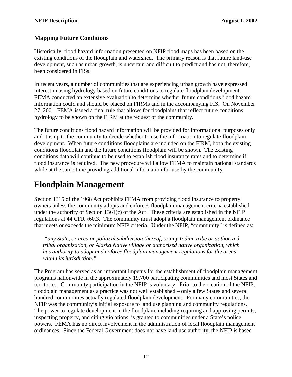### <span id="page-15-0"></span>**Mapping Future Conditions**

Historically, flood hazard information presented on NFIP flood maps has been based on the existing conditions of the floodplain and watershed. The primary reason is that future land-use development, such as urban growth, is uncertain and difficult to predict and has not, therefore, been considered in FISs.

In recent years, a number of communities that are experiencing urban growth have expressed interest in using hydrology based on future conditions to regulate floodplain development. FEMA conducted an extensive evaluation to determine whether future conditions flood hazard information could and should be placed on FIRMs and in the accompanying FIS. On November 27, 2001, FEMA issued a final rule that allows for floodplains that reflect future conditions hydrology to be shown on the FIRM at the request of the community.

The future conditions flood hazard information will be provided for informational purposes only and it is up to the community to decide whether to use the information to regulate floodplain development. When future conditions floodplains are included on the FIRM, both the existing conditions floodplain and the future conditions floodplain will be shown. The existing conditions data will continue to be used to establish flood insurance rates and to determine if flood insurance is required. The new procedure will allow FEMA to maintain national standards while at the same time providing additional information for use by the community.

### **Floodplain Management**

Section 1315 of the 1968 Act prohibits FEMA from providing flood insurance to property owners unless the community adopts and enforces floodplain management criteria established under the authority of Section 1361(c) of the Act. These criteria are established in the NFIP regulations at 44 CFR §60.3. The community must adopt a floodplain management ordinance that meets or exceeds the minimum NFIP criteria. Under the NFIP, "community" is defined as:

*"any State, or area or political subdivision thereof, or any Indian tribe or authorized tribal organization, or Alaska Native village or authorized native organization, which has authority to adopt and enforce floodplain management regulations for the areas within its jurisdiction."* 

The Program has served as an important impetus for the establishment of floodplain management programs nationwide in the approximately 19,700 participating communities and most States and territories. Community participation in the NFIP is voluntary. Prior to the creation of the NFIP, floodplain management as a practice was not well established – only a few States and several hundred communities actually regulated floodplain development. For many communities, the NFIP was the community's initial exposure to land use planning and community regulations. The power to regulate development in the floodplain, including requiring and approving permits, inspecting property, and citing violations, is granted to communities under a State's police powers. FEMA has no direct involvement in the administration of local floodplain management ordinances. Since the Federal Government does not have land use authority, the NFIP is based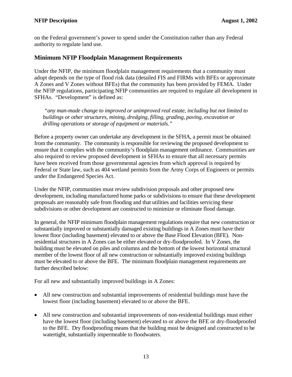<span id="page-16-0"></span>on the Federal government's power to spend under the Constitution rather than any Federal authority to regulate land use.

### **Minimum NFIP Floodplain Management Requirements**

Under the NFIP, the minimum floodplain management requirements that a community must adopt depends on the type of flood risk data (detailed FIS and FIRMs with BFEs or approximate A Zones and V Zones without BFEs) that the community has been provided by FEMA. Under the NFIP regulations, participating NFIP communities are required to regulate all development in SFHAs. "Development" is defined as:

*"any man-made change to improved or unimproved real estate, including but not limited to buildings or other structures, mining, dredging, filling, grading, paving, excavation or drilling operations or storage of equipment or materials."*

Before a property owner can undertake any development in the SFHA, a permit must be obtained from the community. The community is responsible for reviewing the proposed development to ensure that it complies with the community's floodplain management ordinance. Communities are also required to review proposed development in SFHAs to ensure that all necessary permits have been received from those governmental agencies from which approval is required by Federal or State law, such as 404 wetland permits from the Army Corps of Engineers or permits under the Endangered Species Act.

Under the NFIP, communities must review subdivision proposals and other proposed new development, including manufactured home parks or subdivisions to ensure that these development proposals are reasonably safe from flooding and that utilities and facilities servicing these subdivisions or other development are constructed to minimize or eliminate flood damage.

In general, the NFIP minimum floodplain management regulations require that new construction or substantially improved or substantially damaged existing buildings in A Zones must have their lowest floor (including basement) elevated to or above the Base Flood Elevation (BFE). Nonresidential structures in A Zones can be either elevated or dry-floodproofed. In V Zones, the building must be elevated on piles and columns and the bottom of the lowest horizontal structural member of the lowest floor of all new construction or substantially improved existing buildings must be elevated to or above the BFE. The minimum floodplain management requirements are further described below:

For all new and substantially improved buildings in A Zones:

- All new construction and substantial improvements of residential buildings must have the lowest floor (including basement) elevated to or above the BFE.
- All new construction and substantial improvements of non-residential buildings must either have the lowest floor (including basement) elevated to or above the BFE or dry-floodproofed to the BFE. Dry floodproofing means that the building must be designed and constructed to be watertight, substantially impermeable to floodwaters.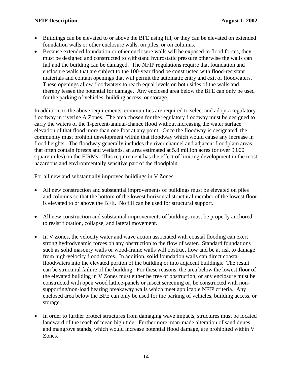- Buildings can be elevated to or above the BFE using fill, or they can be elevated on extended foundation walls or other enclosure walls, on piles, or on columns.
- Because extended foundation or other enclosure walls will be exposed to flood forces, they must be designed and constructed to withstand hydrostatic pressure otherwise the walls can fail and the building can be damaged. The NFIP regulations require that foundation and enclosure walls that are subject to the 100-year flood be constructed with flood-resistant materials and contain openings that will permit the automatic entry and exit of floodwaters. These openings allow floodwaters to reach equal levels on both sides of the walls and thereby lessen the potential for damage. Any enclosed area below the BFE can only be used for the parking of vehicles, building access, or storage.

In addition, to the above requirements, communities are required to select and adopt a regulatory floodway in riverine A Zones. The area chosen for the regulatory floodway must be designed to carry the waters of the 1-percent-annual-chance flood without increasing the water surface elevation of that flood more than one foot at any point. Once the floodway is designated, the community must prohibit development within that floodway which would cause any increase in flood heights. The floodway generally includes the river channel and adjacent floodplain areas that often contain forests and wetlands, an area estimated at 5.8 million acres (or over 9,000 square miles) on the FIRMs. This requirement has the effect of limiting development in the most hazardous and environmentally sensitive part of the floodplain.

For all new and substantially improved buildings in V Zones:

- All new construction and substantial improvements of buildings must be elevated on piles and columns so that the bottom of the lowest horizontal structural member of the lowest floor is elevated to or above the BFE. No fill can be used for structural support.
- All new construction and substantial improvements of buildings must be properly anchored to resist flotation, collapse, and lateral movement.
- In V Zones, the velocity water and wave action associated with coastal flooding can exert strong hydrodynamic forces on any obstruction to the flow of water. Standard foundations such as solid masonry walls or wood-frame walls will obstruct flow and be at risk to damage from high-velocity flood forces. In addition, solid foundation walls can direct coastal floodwaters into the elevated portion of the building or into adjacent buildings. The result can be structural failure of the building. For these reasons, the area below the lowest floor of the elevated building in V Zones must either be free of obstruction, or any enclosure must be constructed with open wood lattice-panels or insect screening or, be constructed with nonsupporting/non-load bearing breakaway walls which meet applicable NFIP criteria. Any enclosed area below the BFE can only be used for the parking of vehicles, building access, or storage.
- In order to further protect structures from damaging wave impacts, structures must be located landward of the reach of mean high tide. Furthermore, man-made alteration of sand dunes and mangrove stands, which would increase potential flood damage, are prohibited within V Zones.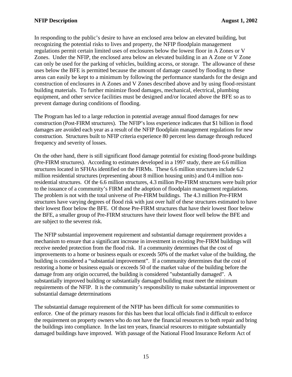In responding to the public's desire to have an enclosed area below an elevated building, but recognizing the potential risks to lives and property, the NFIP floodplain management regulations permit certain limited uses of enclosures below the lowest floor in A Zones or V Zones. Under the NFIP, the enclosed area below an elevated building in an A Zone or V Zone can only be used for the parking of vehicles, building access, or storage. The allowance of these uses below the BFE is permitted because the amount of damage caused by flooding to these areas can easily be kept to a minimum by following the performance standards for the design and construction of enclosures in A Zones and V Zones described above and by using flood-resistant building materials. To further minimize flood damages, mechanical, electrical, plumbing equipment, and other service facilities must be designed and/or located above the BFE so as to prevent damage during conditions of flooding.

The Program has led to a large reduction in potential average annual flood damages for new construction (Post-FIRM structures). The NFIP's loss experience indicates that \$1 billion in flood damages are avoided each year as a result of the NFIP floodplain management regulations for new construction. Structures built to NFIP criteria experience 80 percent less damage through reduced frequency and severity of losses.

On the other hand, there is still significant flood damage potential for existing flood-prone buildings (Pre-FIRM structures). According to estimates developed in a 1997 study, there are 6.6 million structures located in SFHAs identified on the FIRMs. These 6.6 million structures include 6.2 million residential structures (representing about 8 million housing units) and 0.4 million nonresidential structures. Of the 6.6 million structures, 4.3 million Pre-FIRM structures were built prior to the issuance of a community's FIRM and the adoption of floodplain management regulations. The problem is not with the total universe of Pre-FIRM buildings. The 4.3 million Pre-FIRM structures have varying degrees of flood risk with just over half of these structures estimated to have their lowest floor below the BFE. Of those Pre-FIRM structures that have their lowest floor below the BFE, a smaller group of Pre-FIRM structures have their lowest floor well below the BFE and are subject to the severest risk.

The NFIP substantial improvement requirement and substantial damage requirement provides a mechanism to ensure that a significant increase in investment in existing Pre-FIRM buildings will receive needed protection from the flood risk. If a community determines that the cost of improvements to a home or business equals or exceeds 50% of the market value of the building, the building is considered a "substantial improvement". If a community determines that the cost of restoring a home or business equals or exceeds 50 of the market value of the building before the damage from any origin occurred, the building is considered "substantially damaged". A substantially improved building or substantially damaged building must meet the minimum requirements of the NFIP. It is the community's responsibility to make substantial improvement or substantial damage determinations

The substantial damage requirement of the NFIP has been difficult for some communities to enforce. One of the primary reasons for this has been that local officials find it difficult to enforce the requirement on property owners who do not have the financial resources to both repair and bring the buildings into compliance. In the last ten years, financial resources to mitigate substantially damaged buildings have improved. With passage of the National Flood Insurance Reform Act of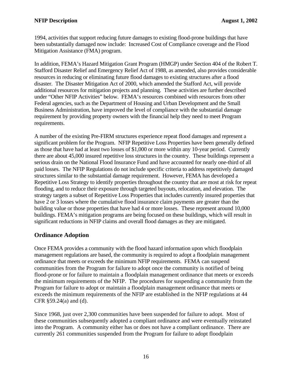<span id="page-19-0"></span>1994, activities that support reducing future damages to existing flood-prone buildings that have been substantially damaged now include: Increased Cost of Compliance coverage and the Flood Mitigation Assistance (FMA) program.

In addition, FEMA's Hazard Mitigation Grant Program (HMGP) under Section 404 of the Robert T. Stafford Disaster Relief and Emergency Relief Act of 1988, as amended, also provides considerable resources in reducing or eliminating future flood damages to existing structures after a flood disaster. The Disaster Mitigation Act of 2000, which amended the Stafford Act, will provide additional resources for mitigation projects and planning. These activities are further described under "Other NFIP Activities" below. FEMA's resources combined with resources from other Federal agencies, such as the Department of Housing and Urban Development and the Small Business Administration, have improved the level of compliance with the substantial damage requirement by providing property owners with the financial help they need to meet Program requirements.

A number of the existing Pre-FIRM structures experience repeat flood damages and represent a significant problem for the Program. NFIP Repetitive Loss Properties have been generally defined as those that have had at least two losses of \$1,000 or more within any 10-year period. Currently there are about 45,000 insured repetitive loss structures in the country. These buildings represent a serious drain on the National Flood Insurance Fund and have accounted for nearly one-third of all paid losses. The NFIP Regulations do not include specific criteria to address repetitively damaged structures similar to the substantial damage requirement. However, FEMA has developed a Repetitive Loss Strategy to identify properties throughout the country that are most at risk for repeat flooding, and to reduce their exposure through targeted buyouts, relocation, and elevation. The strategy targets a subset of Repetitive Loss Properties that includes currently insured properties that have 2 or 3 losses where the cumulative flood insurance claim payments are greater than the building value or those properties that have had 4 or more losses. These represent around 10,000 buildings. FEMA's mitigation programs are being focused on these buildings, which will result in significant reductions in NFIP claims and overall flood damages as they are mitigated.

### **Ordinance Adoption**

Once FEMA provides a community with the flood hazard information upon which floodplain management regulations are based, the community is required to adopt a floodplain management ordinance that meets or exceeds the minimum NFIP requirements. FEMA can suspend communities from the Program for failure to adopt once the community is notified of being flood-prone or for failure to maintain a floodplain management ordinance that meets or exceeds the minimum requirements of the NFIP. The procedures for suspending a community from the Program for failure to adopt or maintain a floodplain management ordinance that meets or exceeds the minimum requirements of the NFIP are established in the NFIP regulations at 44 CFR §59.24(a) and (d).

Since 1968, just over 2,300 communities have been suspended for failure to adopt. Most of these communities subsequently adopted a compliant ordinance and were eventually reinstated into the Program. A community either has or does not have a compliant ordinance. There are currently 261 communities suspended from the Program for failure to adopt floodplain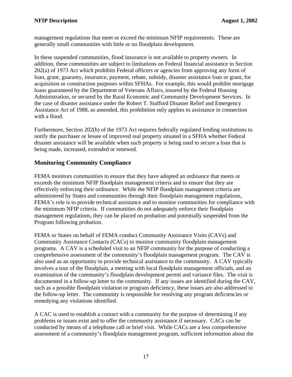<span id="page-20-0"></span>management regulations that meet or exceed the minimum NFIP requirements. These are generally small communities with little or no floodplain development.

In these suspended communities, flood insurance is not available to property owners. In addition, these communities are subject to limitations on Federal financial assistance in Section 202(a) of 1973 Act which prohibits Federal officers or agencies from approving any form of loan, grant, guaranty, insurance, payment, rebate, subsidy, disaster assistance loan or grant, for acquisition or construction purposes within SFHAs. For example, this would prohibit mortgage loans guaranteed by the Department of Veterans Affairs, insured by the Federal Housing Administration, or secured by the Rural Economic and Community Development Services. In the case of disaster assistance under the Robert T. Stafford Disaster Relief and Emergency Assistance Act of 1988, as amended, this prohibition only applies to assistance in connection with a flood.

Furthermore, Section 202(b) of the 1973 Act requires federally regulated lending institutions to notify the purchaser or lessee of improved real property situated in a SFHA whether Federal disaster assistance will be available when such property is being used to secure a loan that is being made, increased, extended or renewed.

### **Monitoring Community Compliance**

FEMA monitors communities to ensure that they have adopted an ordinance that meets or exceeds the minimum NFIP floodplain management criteria and to ensure that they are effectively enforcing their ordinance. While the NFIP floodplain management criteria are administered by States and communities through their floodplain management regulations, FEMA's role is to provide technical assistance and to monitor communities for compliance with the minimum NFIP criteria. If communities do not adequately enforce their floodplain management regulations, they can be placed on probation and potentially suspended from the Program following probation.

FEMA or States on behalf of FEMA conduct Community Assistance Visits (CAVs) and Community Assistance Contacts (CACs) to monitor community floodplain management programs. A CAV is a scheduled visit to an NFIP community for the purpose of conducting a comprehensive assessment of the community's floodplain management program. The CAV is also used as an opportunity to provide technical assistance to the community. A CAV typically involves a tour of the floodplain, a meeting with local floodplain management officials, and an examination of the community's floodplain development permit and variance files. The visit is documented in a follow-up letter to the community. If any issues are identified during the CAV, such as a possible floodplain violation or program deficiency, these issues are also addressed in the follow-up letter. The community is responsible for resolving any program deficiencies or remedying any violations identified.

A CAC is used to establish a contact with a community for the purpose of determining if any problems or issues exist and to offer the community assistance if necessary. CACs can be conducted by means of a telephone call or brief visit. While CACs are a less comprehensive assessment of a community's floodplain management program, sufficient information about the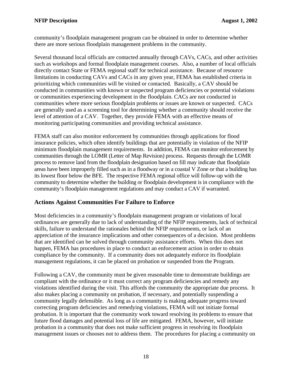<span id="page-21-0"></span>community's floodplain management program can be obtained in order to determine whether there are more serious floodplain management problems in the community.

Several thousand local officials are contacted annually through CAVs, CACs, and other activities such as workshops and formal floodplain management courses. Also, a number of local officials directly contact State or FEMA regional staff for technical assistance. Because of resource limitations in conducting CAVs and CACs in any given year, FEMA has established criteria in prioritizing which communities will be visited or contacted. Basically, a CAV should be conducted in communities with known or suspected program deficiencies or potential violations or communities experiencing development in the floodplain. CACs are not conducted in communities where more serious floodplain problems or issues are known or suspected. CACs are generally used as a screening tool for determining whether a community should receive the level of attention of a CAV. Together, they provide FEMA with an effective means of monitoring participating communities and providing technical assistance.

FEMA staff can also monitor enforcement by communities through applications for flood insurance policies, which often identify buildings that are potentially in violation of the NFIP minimum floodplain management requirements. In addition, FEMA can monitor enforcement by communities through the LOMR (Letter of Map Revision) process. Requests through the LOMR process to remove land from the floodplain designation based on fill may indicate that floodplain areas have been improperly filled such as in a floodway or in a coastal V Zone or that a building has its lowest floor below the BFE. The respective FEMA regional office will follow-up with the community to determine whether the building or floodplain development is in compliance with the community's floodplain management regulations and may conduct a CAV if warranted.

### **Actions Against Communities For Failure to Enforce**

Most deficiencies in a community's floodplain management program or violations of local ordinances are generally due to lack of understanding of the NFIP requirements, lack of technical skills, failure to understand the rationales behind the NFIP requirements, or lack of an appreciation of the insurance implications and other consequences of a decision. Most problems that are identified can be solved through community assistance efforts. When this does not happen, FEMA has procedures in place to conduct an enforcement action in order to obtain compliance by the community. If a community does not adequately enforce its floodplain management regulations, it can be placed on probation or suspended from the Program.

Following a CAV, the community must be given reasonable time to demonstrate buildings are compliant with the ordinance or it must correct any program deficiencies and remedy any violations identified during the visit. This affords the community the appropriate due process. It also makes placing a community on probation, if necessary, and potentially suspending a community legally defensible. As long as a community is making adequate progress toward correcting program deficiencies and remedying violations, FEMA will not initiate formal probation. It is important that the community work toward resolving its problems to ensure that future flood damages and potential loss of life are mitigated. FEMA, however, will initiate probation in a community that does not make sufficient progress in resolving its floodplain management issues or chooses not to address them. The procedures for placing a community on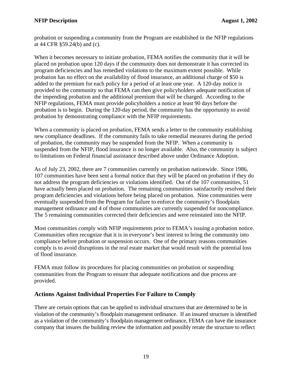<span id="page-22-0"></span>probation or suspending a community from the Program are established in the NFIP regulations at 44 CFR §59.24(b) and (c).

When it becomes necessary to initiate probation, FEMA notifies the community that it will be placed on probation upon 120 days if the community does not demonstrate it has corrected its program deficiencies and has remedied violations to the maximum extent possible. While probation has no effect on the availability of flood insurance, an additional charge of \$50 is added to the premium for each policy for a period of at least one year. A 120-day notice is provided to the community so that FEMA can then give policyholders adequate notification of the impending probation and the additional premium that will be charged. According to the NFIP regulations, FEMA must provide policyholders a notice at least 90 days before the probation is to begin. During the 120-day period, the community has the opportunity to avoid probation by demonstrating compliance with the NFIP requirements.

When a community is placed on probation, FEMA sends a letter to the community establishing new compliance deadlines. If the community fails to take remedial measures during the period of probation, the community may be suspended from the NFIP. When a community is suspended from the NFIP, flood insurance is no longer available. Also, the community is subject to limitations on Federal financial assistance described above under Ordinance Adoption.

As of July 23, 2002, there are 7 communities currently on probation nationwide. Since 1986, 107 communities have been sent a formal notice that they will be placed on probation if they do not address the program deficiencies or violations identified. Out of the 107 communities, 51 have actually been placed on probation. The remaining communities satisfactorily resolved their program deficiencies and violations before being placed on probation. Nine communities were eventually suspended from the Program for failure to enforce the community's floodplain management ordinance and 4 of those communities are currently suspended for noncompliance. The 5 remaining communities corrected their deficiencies and were reinstated into the NFIP.

Most communities comply with NFIP requirements prior to FEMA's issuing a probation notice. Communities often recognize that it is in everyone's best interest to bring the community into compliance before probation or suspension occurs. One of the primary reasons communities comply is to avoid disruptions in the real estate market that would result with the potential loss of flood insurance.

FEMA must follow its procedures for placing communities on probation or suspending communities from the Program to ensure that adequate notifications and due process are provided.

### **Actions Against Individual Properties For Failure to Comply**

There are certain options that can be applied to individual structures that are determined to be in violation of the community's floodplain management ordinance. If an insured structure is identified as a violation of the community's floodplain management ordinance, FEMA can have the insurance company that insures the building review the information and possibly rerate the structure to reflect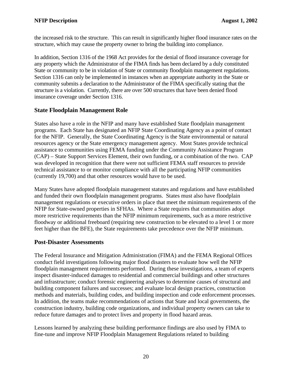<span id="page-23-0"></span>the increased risk to the structure. This can result in significantly higher flood insurance rates on the structure, which may cause the property owner to bring the building into compliance.

In addition, Section 1316 of the 1968 Act provides for the denial of flood insurance coverage for any property which the Administrator of the FIMA finds has been declared by a duly constituted State or community to be in violation of State or community floodplain management regulations. Section 1316 can only be implemented in instances when an appropriate authority in the State or community submits a declaration to the Administrator of the FIMA specifically stating that the structure is a violation. Currently, there are over 500 structures that have been denied flood insurance coverage under Section 1316.

### **State Floodplain Management Role**

States also have a role in the NFIP and many have established State floodplain management programs. Each State has designated an NFIP State Coordinating Agency as a point of contact for the NFIP. Generally, the State Coordinating Agency is the State environmental or natural resources agency or the State emergency management agency. Most States provide technical assistance to communities using FEMA funding under the Community Assistance Program (CAP) – State Support Services Element, their own funding, or a combination of the two. CAP was developed in recognition that there were not sufficient FEMA staff resources to provide technical assistance to or monitor compliance with all the participating NFIP communities (currently 19,700) and that other resources would have to be used.

Many States have adopted floodplain management statutes and regulations and have established and funded their own floodplain management programs. States must also have floodplain management regulations or executive orders in place that meet the minimum requirements of the NFIP for State-owned properties in SFHAs. Where a State requires that communities adopt more restrictive requirements than the NFIP minimum requirements, such as a more restrictive floodway or additional freeboard (requiring new construction to be elevated to a level 1 or more feet higher than the BFE), the State requirements take precedence over the NFIP minimum.

### **Post-Disaster Assessments**

The Federal Insurance and Mitigation Administration (FIMA) and the FEMA Regional Offices conduct field investigations following major flood disasters to evaluate how well the NFIP floodplain management requirements performed. During these investigations, a team of experts inspect disaster-induced damages to residential and commercial buildings and other structures and infrastructure; conduct forensic engineering analyses to determine causes of structural and building component failures and successes; and evaluate local design practices, construction methods and materials, building codes, and building inspection and code enforcement processes. In addition, the teams make recommendations of actions that State and local governments, the construction industry, building code organizations, and individual property owners can take to reduce future damages and to protect lives and property in flood hazard areas.

Lessons learned by analyzing these building performance findings are also used by FIMA to fine-tune and improve NFIP Floodplain Management Regulations related to building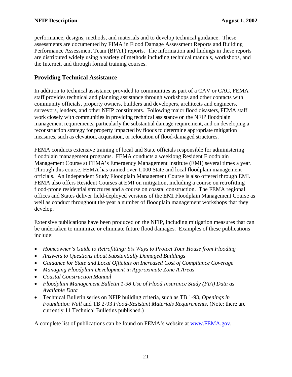<span id="page-24-0"></span>performance, designs, methods, and materials and to develop technical guidance. These assessments are documented by FIMA in Flood Damage Assessment Reports and Building Performance Assessment Team (BPAT) reports. The information and findings in these reports are distributed widely using a variety of methods including technical manuals, workshops, and the Internet, and through formal training courses.

### **Providing Technical Assistance**

In addition to technical assistance provided to communities as part of a CAV or CAC, FEMA staff provides technical and planning assistance through workshops and other contacts with community officials, property owners, builders and developers, architects and engineers, surveyors, lenders, and other NFIP constituents. Following major flood disasters, FEMA staff work closely with communities in providing technical assistance on the NFIP floodplain management requirements, particularly the substantial damage requirement, and on developing a reconstruction strategy for property impacted by floods to determine appropriate mitigation measures, such as elevation, acquisition, or relocation of flood-damaged structures.

FEMA conducts extensive training of local and State officials responsible for administering floodplain management programs. FEMA conducts a weeklong Resident Floodplain Management Course at FEMA's Emergency Management Institute (EMI) several times a year. Through this course, FEMA has trained over 1,000 State and local floodplain management officials. An Independent Study Floodplain Management Course is also offered through EMI. FEMA also offers Resident Courses at EMI on mitigation, including a course on retrofitting flood-prone residential structures and a course on coastal construction. The FEMA regional offices and States deliver field-deployed versions of the EMI Floodplain Management Course as well as conduct throughout the year a number of floodplain management workshops that they develop.

Extensive publications have been produced on the NFIP, including mitigation measures that can be undertaken to minimize or eliminate future flood damages. Examples of these publications include:

- *Homeowner's Guide to Retrofitting: Six Ways to Protect Your House from Flooding*
- *Answers to Questions about Substantially Damaged Buildings*
- *Guidance for State and Local Officials on Increased Cost of Compliance Coverage*
- *Managing Floodplain Development in Approximate Zone A Areas*
- *Coastal Construction Manual*
- *Floodplain Management Bulletin 1-98 Use of Flood Insurance Study (FIA) Data as Available Data*
- Technical Bulletin series on NFIP building criteria, such as TB 1-93, *Openings in Foundation Wall* and TB 2-93 *Flood-Resistant Materials Requirements*. (Note: there are currently 11 Technical Bulletins published.)

A complete list of publications can be found on FEMA's website at [www.FEMA.gov](http://www.fema.gov/).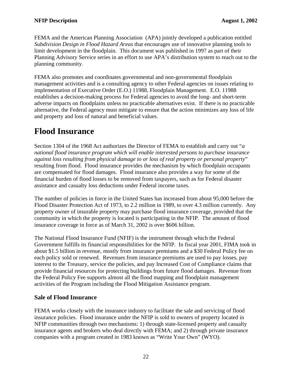<span id="page-25-0"></span>FEMA and the American Planning Association (APA) jointly developed a publication entitled *Subdivision Design in Flood Hazard Areas* that encourages use of innovative planning tools to limit development in the floodplain. This document was published in 1997 as part of their Planning Advisory Service series in an effort to use APA's distribution system to reach out to the planning community.

FEMA also promotes and coordinates governmental and non-governmental floodplain management activities and is a consulting agency to other Federal agencies on issues relating to implementation of Executive Order (E.O.) 11988, Floodplain Management. E.O. 11988 establishes a decision-making process for Federal agencies to avoid the long- and short-term adverse impacts on floodplains unless no practicable alternatives exist. If there is no practicable alternative, the Federal agency must mitigate to ensure that the action minimizes any loss of life and property and loss of natural and beneficial values.

### **Flood Insurance**

Section 1304 of the 1968 Act authorizes the Director of FEMA to establish and carry out "*a national flood insurance program which will enable interested persons to purchase insurance against loss resulting from physical damage to or loss of real property or personal property*" resulting from flood. Flood insurance provides the mechanism by which floodplain occupants are compensated for flood damages. Flood insurance also provides a way for some of the financial burden of flood losses to be removed from taxpayers, such as for Federal disaster assistance and casualty loss deductions under Federal income taxes.

The number of policies in force in the United States has increased from about 95,000 before the Flood Disaster Protection Act of 1973, to 2.2 million in 1989, to over 4.3 million currently. Any property owner of insurable property may purchase flood insurance coverage, provided that the community in which the property is located is participating in the NFIP. The amount of flood insurance coverage in force as of March 31, 2002 is over \$606 billion.

The National Flood Insurance Fund (NFIF) is the instrument through which the Federal Government fulfills its financial responsibilities for the NFIP. In fiscal year 2001, FIMA took in about \$1.5 billion in revenue, mostly from insurance premiums and a \$30 Federal Policy fee on each policy sold or renewed. Revenues from insurance premiums are used to pay losses, pay interest to the Treasury, service the policies, and pay Increased Cost of Compliance claims that provide financial resources for protecting buildings from future flood damages. Revenue from the Federal Policy Fee supports almost all the flood mapping and floodplain management activities of the Program including the Flood Mitigation Assistance program.

### **Sale of Flood Insurance**

FEMA works closely with the insurance industry to facilitate the sale and servicing of flood insurance policies. Flood insurance under the NFIP is sold to owners of property located in NFIP communities through two mechanisms: 1) through state-licensed property and casualty insurance agents and brokers who deal directly with FEMA; and 2) through private insurance companies with a program created in 1983 known as "Write Your Own" (WYO).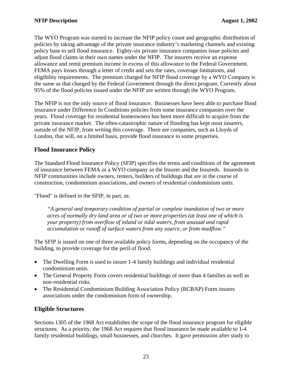<span id="page-26-0"></span>The WYO Program was started to increase the NFIP policy count and geographic distribution of policies by taking advantage of the private insurance industry's marketing channels and existing policy base to sell flood insurance. Eighty-six private insurance companies issue policies and adjust flood claims in their own names under the NFIP. The insurers receive an expense allowance and remit premium income in excess of this allowance to the Federal Government. FEMA pays losses through a letter of credit and sets the rates, coverage limitations, and eligibility requirements. The premium charged for NFIP flood coverage by a WYO Company is the same as that charged by the Federal Government through the direct program. Currently about 95% of the flood policies issued under the NFIP are written through the WYO Program.

The NFIP is not the only source of flood insurance. Businesses have been able to purchase flood insurance under Difference In Conditions policies from some insurance companies over the years. Flood coverage for residential homeowners has been more difficult to acquire from the private insurance market. The often-catastrophic nature of flooding has kept most insurers, outside of the NFIP, from writing this coverage. There are companies, such as Lloyds of London, that will, on a limited basis, provide flood insurance to some properties.

### **Flood Insurance Policy**

The Standard Flood Insurance Policy (SFIP) specifies the terms and conditions of the agreement of insurance between FEMA or a WYO company as the Insurer and the Insureds. Insureds in NFIP communities include owners, renters, builders of buildings that are in the course of construction, condominium associations, and owners of residential condominium units.

"Flood" is defined in the SFIP, in part, as:

*"A general and temporary condition of partial or complete inundation of two or more acres of normally dry land area or of two or more properties (at least one of which is your property) from overflow of inland or tidal waters, from unusual and rapid accumulation or runoff of surface waters from any source, or from mudflow."* 

The SFIP is issued on one of three available policy forms, depending on the occupancy of the building, to provide coverage for the peril of flood.

- The Dwelling Form is used to insure 1-4 family buildings and individual residential condominium units.
- The General Property Form covers residential buildings of more than 4 families as well as non-residential risks.
- The Residential Condominium Building Association Policy (RCBAP) Form insures associations under the condominium form of ownership.

### **Eligible Structures**

Sections 1305 of the 1968 Act establishes the scope of the flood insurance program for eligible structures. As a priority, the 1968 Act requires that flood insurance be made available to 1-4 family residential buildings, small businesses, and churches. It gave permission after study to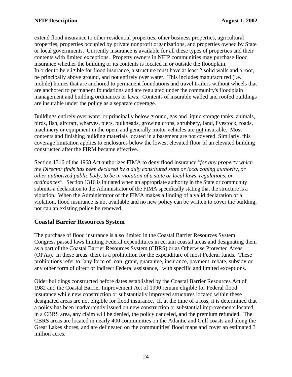<span id="page-27-0"></span>extend flood insurance to other residential properties, other business properties, agricultural properties, properties occupied by private nonprofit organizations, and properties owned by State or local governments. Currently insurance is available for all these types of properties and their contents with limited exceptions. Property owners in NFIP communities may purchase flood insurance whether the building or its contents is located in or outside the floodplain. In order to be eligible for flood insurance, a structure must have at least 2 solid walls and a roof, be principally above ground, and not entirely over water. This includes manufactured (i.e., mobile) homes that are anchored to permanent foundations and travel trailers without wheels that are anchored to permanent foundations and are regulated under the community's floodplain management and building ordinances or laws. Contents of insurable walled and roofed buildings are insurable under the policy as a separate coverage.

Buildings entirely over water or principally below ground, gas and liquid storage tanks, animals, birds, fish, aircraft, wharves, piers, bulkheads, growing crops, shrubbery, land, livestock, roads, machinery or equipment in the open, and generally motor vehicles are not insurable. Most contents and finishing building materials located in a basement are not covered. Similarly, this coverage limitation applies to enclosures below the lowest elevated floor of an elevated building constructed after the FIRM became effective.

Section 1316 of the 1968 Act authorizes FIMA to deny flood insurance *"for any property which the Director finds has been declared by a duly constituted state or local zoning authority, or other authorized public body, to be in violation of a state or local laws, regulations, or ordinances"*. Section 1316 is initiated when an appropriate authority in the State or community submits a declaration to the Administrator of the FIMA specifically stating that the structure is a violation. When the Administrator of the FIMA makes a finding of a valid declaration of a violation, flood insurance is not available and no new policy can be written to cover the building, nor can an existing policy be renewed.

### **Coastal Barrier Resources System**

The purchase of flood insurance is also limited in the Coastal Barrier Resources System. Congress passed laws limiting Federal expenditures in certain coastal areas and designating them as a part of the Coastal Barrier Resources System (CBRS) or as Otherwise Protected Areas (OPAs). In these areas, there is a prohibition for the expenditure of most Federal funds. These prohibitions refer to "any form of loan, grant, guarantee, insurance, payment, rebate, subsidy or any other form of direct or indirect Federal assistance," with specific and limited exceptions.

Older buildings constructed before dates established by the Coastal Barrier Resources Act of 1982 and the Coastal Barrier Improvement Act of 1990 remain eligible for Federal flood insurance while new construction or substantially improved structures located within these designated areas are not eligible for flood insurance. If, at the time of a loss, it is determined that a policy has been inadvertently issued on new construction or substantial improvements located in a CBRS area, any claim will be denied, the policy canceled, and the premium refunded. The CBRS areas are located in nearly 400 communities on the Atlantic and Gulf coasts and along the Great Lakes shores, and are delineated on the communities' flood maps and cover an estimated 3 million acres.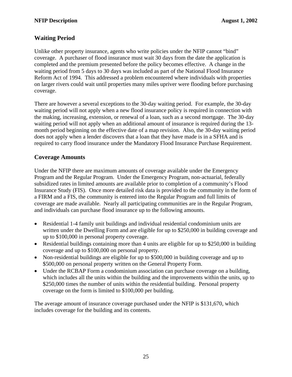### <span id="page-28-0"></span>**Waiting Period**

Unlike other property insurance, agents who write policies under the NFIP cannot "bind" coverage. A purchaser of flood insurance must wait 30 days from the date the application is completed and the premium presented before the policy becomes effective. A change in the waiting period from 5 days to 30 days was included as part of the National Flood Insurance Reform Act of 1994. This addressed a problem encountered where individuals with properties on larger rivers could wait until properties many miles upriver were flooding before purchasing coverage.

There are however a several exceptions to the 30-day waiting period. For example, the 30-day waiting period will not apply when a new flood insurance policy is required in connection with the making, increasing, extension, or renewal of a loan, such as a second mortgage. The 30-day waiting period will not apply when an additional amount of insurance is required during the 13 month period beginning on the effective date of a map revision. Also, the 30-day waiting period does not apply when a lender discovers that a loan that they have made is in a SFHA and is required to carry flood insurance under the Mandatory Flood Insurance Purchase Requirement.

### **Coverage Amounts**

Under the NFIP there are maximum amounts of coverage available under the Emergency Program and the Regular Program. Under the Emergency Program, non-actuarial, federally subsidized rates in limited amounts are available prior to completion of a community's Flood Insurance Study (FIS). Once more detailed risk data is provided to the community in the form of a FIRM and a FIS, the community is entered into the Regular Program and full limits of coverage are made available. Nearly all participating communities are in the Regular Program, and individuals can purchase flood insurance up to the following amounts.

- Residential 1-4 family unit buildings and individual residential condominium units are written under the Dwelling Form and are eligible for up to \$250,000 in building coverage and up to \$100,000 in personal property coverage.
- Residential buildings containing more than 4 units are eligible for up to \$250,000 in building coverage and up to \$100,000 on personal property.
- Non-residential buildings are eligible for up to \$500,000 in building coverage and up to \$500,000 on personal property written on the General Property Form.
- Under the RCBAP Form a condominium association can purchase coverage on a building, which includes all the units within the building and the improvements within the units, up to \$250,000 times the number of units within the residential building. Personal property coverage on the form is limited to \$100,000 per building.

The average amount of insurance coverage purchased under the NFIP is \$131,670, which includes coverage for the building and its contents.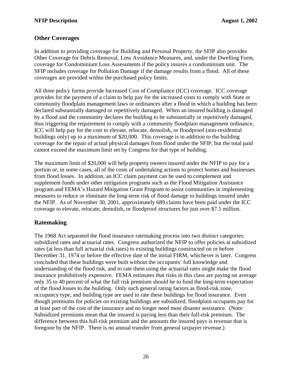### <span id="page-29-0"></span>**Other Coverages**

In addition to providing coverage for Building and Personal Property, the SFIP also provides Other Coverage for Debris Removal, Loss Avoidance Measures, and, under the Dwelling Form, coverage for Condominium Loss Assessments if the policy insures a condominium unit. The SFIP includes coverage for Pollution Damage if the damage results from a flood. All of these coverages are provided within the purchased policy limits.

All three policy forms provide Increased Cost of Compliance (ICC) coverage. ICC coverage provides for the payment of a claim to help pay for the increased costs to comply with State or community floodplain management laws or ordinances after a flood in which a building has been declared substantially damaged or repetitively damaged. When an insured building is damaged by a flood and the community declares the building to be substantially or repetitively damaged, thus triggering the requirement to comply with a community floodplain management ordinance, ICC will help pay for the cost to elevate, relocate, demolish, or floodproof (non-residential buildings only) up to a maximum of \$20,000. This coverage is in addition to the building coverage for the repair of actual physical damages from flood under the SFIP, but the total paid cannot exceed the maximum limit set by Congress for that type of building.

The maximum limit of \$20,000 will help property owners insured under the NFIP to pay for a portion or, in some cases, all of the costs of undertaking actions to protect homes and businesses from flood losses. In addition, an ICC claim payment can be used to complement and supplement funds under other mitigation programs such as the Flood Mitigation Assistance program and FEMA's Hazard Mitigation Grant Program to assist communities in implementing measures to reduce or eliminate the long-term risk of flood damage to buildings insured under the NFIP. As of November 30, 2001, approximately 689 claims have been paid under the ICC coverage to elevate, relocate, demolish, or floodproof structures for just over \$7.5 million.

### **Ratemaking**

The 1968 Act separated the flood insurance ratemaking process into two distinct categories: subsidized rates and actuarial rates. Congress authorized the NFIP to offer policies at subsidized rates (at less than full actuarial risk rates) to existing buildings constructed on or before December 31, 1974 or before the effective date of the initial FIRM, whichever is later. Congress concluded that these buildings were built without the occupants' full knowledge and understanding of the flood risk, and to rate them using the actuarial rates might make the flood insurance prohibitively expensive. FEMA estimates that risks in this class are paying on average only 35 to 40 percent of what the full risk premium should be to fund the long-term expectation of the flood losses to the building. Only such general rating factors as flood-risk zone, occupancy type, and building type are used to rate these buildings for flood insurance. Even though premiums for policies on existing buildings are subsidized, floodplain occupants pay for at least part of the cost of the insurance and no longer need most disaster assistance. (Note: Subsidized premiums mean that the insured is paying less than their full-risk premium. The difference between this full-risk premium and the amounts the insured pays is revenue that is foregone by the NFIP. There is no annual transfer from general taxpayer revenue.)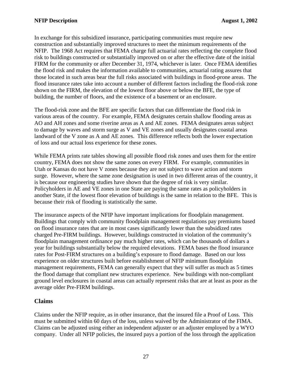<span id="page-30-0"></span>In exchange for this subsidized insurance, participating communities must require new construction and substantially improved structures to meet the minimum requirements of the NFIP. The 1968 Act requires that FEMA charge full actuarial rates reflecting the complete flood risk to buildings constructed or substantially improved on or after the effective date of the initial FIRM for the community or after December 31, 1974, whichever is later. Once FEMA identifies the flood risk and makes the information available to communities, actuarial rating assures that those located in such areas bear the full risks associated with buildings in flood-prone areas. The flood insurance rates take into account a number of different factors including the flood-risk zone shown on the FIRM, the elevation of the lowest floor above or below the BFE, the type of building, the number of floors, and the existence of a basement or an enclosure.

The flood-risk zone and the BFE are specific factors that can differentiate the flood risk in various areas of the country. For example, FEMA designates certain shallow flooding areas as AO and AH zones and some riverine areas as A and AE zones. FEMA designates areas subject to damage by waves and storm surge as V and VE zones and usually designates coastal areas landward of the V zone as A and AE zones. This difference reflects both the lower expectation of loss and our actual loss experience for these zones.

While FEMA prints rate tables showing all possible flood risk zones and uses them for the entire country, FEMA does not show the same zones on every FIRM. For example, communities in Utah or Kansas do not have V zones because they are not subject to wave action and storm surge. However, where the same zone designation is used in two different areas of the country, it is because our engineering studies have shown that the degree of risk is very similar. Policyholders in AE and VE zones in one State are paying the same rates as policyholders in another State, if the lowest floor elevation of buildings is the same in relation to the BFE. This is because their risk of flooding is statistically the same.

The insurance aspects of the NFIP have important implications for floodplain management. Buildings that comply with community floodplain management regulations pay premiums based on flood insurance rates that are in most cases significantly lower than the subsidized rates charged Pre-FIRM buildings. However, buildings constructed in violation of the community's floodplain management ordinance pay much higher rates, which can be thousands of dollars a year for buildings substantially below the required elevations. FEMA bases the flood insurance rates for Post-FIRM structures on a building's exposure to flood damage. Based on our loss experience on older structures built before establishment of NFIP minimum floodplain management requirements, FEMA can generally expect that they will suffer as much as 5 times the flood damage that compliant new structures experience. New buildings with non-compliant ground level enclosures in coastal areas can actually represent risks that are at least as poor as the average older Pre-FIRM buildings.

### **Claims**

Claims under the NFIP require, as in other insurance, that the insured file a Proof of Loss. This must be submitted within 60 days of the loss, unless waived by the Administrator of the FIMA. Claims can be adjusted using either an independent adjuster or an adjuster employed by a WYO company. Under all NFIP policies, the insured pays a portion of the loss through the application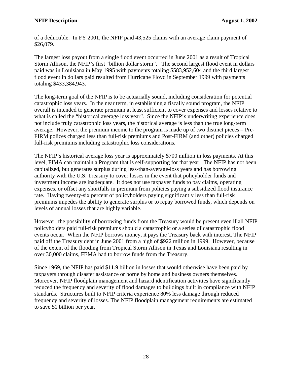of a deductible. In FY 2001, the NFIP paid 43,525 claims with an average claim payment of \$26,079.

The largest loss payout from a single flood event occurred in June 2001 as a result of Tropical Storm Allison, the NFIP's first "billion dollar storm". The second largest flood event in dollars paid was in Louisiana in May 1995 with payments totaling \$583,952,604 and the third largest flood event in dollars paid resulted from Hurricane Floyd in September 1999 with payments totaling \$433,384,943.

The long-term goal of the NFIP is to be actuarially sound, including consideration for potential catastrophic loss years. In the near term, in establishing a fiscally sound program, the NFIP overall is intended to generate premium at least sufficient to cover expenses and losses relative to what is called the "historical average loss year". Since the NFIP's underwriting experience does not include truly catastrophic loss years, the historical average is less than the true long-term average. However, the premium income to the program is made up of two distinct pieces – Pre-FIRM polices charged less than full-risk premiums and Post-FIRM (and other) policies charged full-risk premiums including catastrophic loss considerations.

The NFIP's historical average loss year is approximately \$700 million in loss payments. At this level, FIMA can maintain a Program that is self-supporting for that year. The NFIP has not been capitalized, but generates surplus during less-than-average-loss years and has borrowing authority with the U.S. Treasury to cover losses in the event that policyholder funds and investment income are inadequate. It does not use taxpayer funds to pay claims, operating expenses, or offset any shortfalls in premium from policies paying a subsidized flood insurance rate. Having twenty-six percent of policyholders paying significantly less than full-risk premiums impedes the ability to generate surplus or to repay borrowed funds, which depends on levels of annual losses that are highly variable.

However, the possibility of borrowing funds from the Treasury would be present even if all NFIP policyholders paid full-risk premiums should a catastrophic or a series of catastrophic flood events occur. When the NFIP borrows money, it pays the Treasury back with interest. The NFIP paid off the Treasury debt in June 2001 from a high of \$922 million in 1999. However, because of the extent of the flooding from Tropical Storm Allison in Texas and Louisiana resulting in over 30,000 claims, FEMA had to borrow funds from the Treasury.

Since 1969, the NFIP has paid \$11.9 billion in losses that would otherwise have been paid by taxpayers through disaster assistance or borne by home and business owners themselves. Moreover, NFIP floodplain management and hazard identification activities have significantly reduced the frequency and severity of flood damages to buildings built in compliance with NFIP standards. Structures built to NFIP criteria experience 80% less damage through reduced frequency and severity of losses. The NFIP floodplain management requirements are estimated to save \$1 billion per year.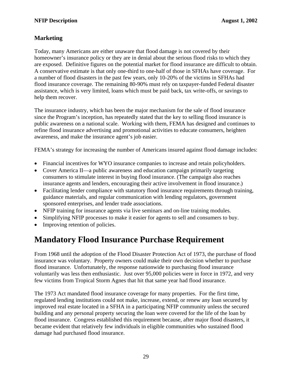### <span id="page-32-0"></span>**Marketing**

Today, many Americans are either unaware that flood damage is not covered by their homeowner's insurance policy or they are in denial about the serious flood risks to which they are exposed. Definitive figures on the potential market for flood insurance are difficult to obtain. A conservative estimate is that only one-third to one-half of those in SFHAs have coverage. For a number of flood disasters in the past few years, only 10-20% of the victims in SFHAs had flood insurance coverage. The remaining 80-90% must rely on taxpayer-funded Federal disaster assistance, which is very limited, loans which must be paid back, tax write-offs, or savings to help them recover.

The insurance industry, which has been the major mechanism for the sale of flood insurance since the Program's inception, has repeatedly stated that the key to selling flood insurance is public awareness on a national scale. Working with them, FEMA has designed and continues to refine flood insurance advertising and promotional activities to educate consumers, heighten awareness, and make the insurance agent's job easier.

FEMA's strategy for increasing the number of Americans insured against flood damage includes:

- Financial incentives for WYO insurance companies to increase and retain policyholders.
- Cover America II—a public awareness and education campaign primarily targeting consumers to stimulate interest in buying flood insurance. (The campaign also reaches insurance agents and lenders, encouraging their active involvement in flood insurance.)
- Facilitating lender compliance with statutory flood insurance requirements through training, guidance materials, and regular communication with lending regulators, government sponsored enterprises, and lender trade associations.
- NFIP training for insurance agents via live seminars and on-line training modules.
- Simplifying NFIP processes to make it easier for agents to sell and consumers to buy.
- Improving retention of policies.

### **Mandatory Flood Insurance Purchase Requirement**

From 1968 until the adoption of the Flood Disaster Protection Act of 1973, the purchase of flood insurance was voluntary. Property owners could make their own decision whether to purchase flood insurance. Unfortunately, the response nationwide to purchasing flood insurance voluntarily was less then enthusiastic. Just over 95,000 policies were in force in 1972, and very few victims from Tropical Storm Agnes that hit that same year had flood insurance.

The 1973 Act mandated flood insurance coverage for many properties. For the first time, regulated lending institutions could not make, increase, extend, or renew any loan secured by improved real estate located in a SFHA in a participating NFIP community unless the secured building and any personal property securing the loan were covered for the life of the loan by flood insurance. Congress established this requirement because, after major flood disasters, it became evident that relatively few individuals in eligible communities who sustained flood damage had purchased flood insurance.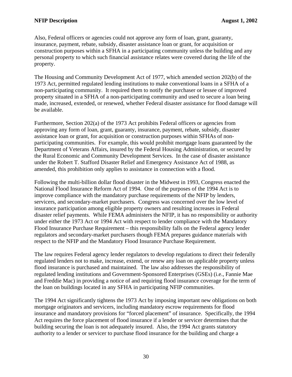Also, Federal officers or agencies could not approve any form of loan, grant, guaranty, insurance, payment, rebate, subsidy, disaster assistance loan or grant, for acquisition or construction purposes within a SFHA in a participating community unless the building and any personal property to which such financial assistance relates were covered during the life of the property.

The Housing and Community Development Act of 1977, which amended section 202(b) of the 1973 Act, permitted regulated lending institutions to make conventional loans in a SFHA of a non-participating community. It required them to notify the purchaser or lessee of improved property situated in a SFHA of a non-participating community and used to secure a loan being made, increased, extended, or renewed, whether Federal disaster assistance for flood damage will be available.

Furthermore, Section 202(a) of the 1973 Act prohibits Federal officers or agencies from approving any form of loan, grant, guaranty, insurance, payment, rebate, subsidy, disaster assistance loan or grant, for acquisition or construction purposes within SFHAs of nonparticipating communities. For example, this would prohibit mortgage loans guaranteed by the Department of Veterans Affairs, insured by the Federal Housing Administration, or secured by the Rural Economic and Community Development Services. In the case of disaster assistance under the Robert T. Stafford Disaster Relief and Emergency Assistance Act of 1988, as amended, this prohibition only applies to assistance in connection with a flood.

Following the multi-billion dollar flood disaster in the Midwest in 1993, Congress enacted the National Flood Insurance Reform Act of 1994. One of the purposes of the 1994 Act is to improve compliance with the mandatory purchase requirements of the NFIP by lenders, servicers, and secondary-market purchasers. Congress was concerned over the low level of insurance participation among eligible property owners and resulting increases in Federal disaster relief payments. While FEMA administers the NFIP, it has no responsibility or authority under either the 1973 Act or 1994 Act with respect to lender compliance with the Mandatory Flood Insurance Purchase Requirement – this responsibility falls on the Federal agency lender regulators and secondary-market purchasers though FEMA prepares guidance materials with respect to the NFIP and the Mandatory Flood Insurance Purchase Requirement.

The law requires Federal agency lender regulators to develop regulations to direct their federally regulated lenders not to make, increase, extend, or renew any loan on applicable property unless flood insurance is purchased and maintained. The law also addresses the responsibility of regulated lending institutions and Government-Sponsored Enterprises (GSEs) (i.e., Fannie Mae and Freddie Mac) in providing a notice of and requiring flood insurance coverage for the term of the loan on buildings located in any SFHA in participating NFIP communities.

The 1994 Act significantly tightens the 1973 Act by imposing important new obligations on both mortgage originators and servicers, including mandatory escrow requirements for flood insurance and mandatory provisions for "forced placement" of insurance. Specifically, the 1994 Act requires the force placement of flood insurance if a lender or servicer determines that the building securing the loan is not adequately insured. Also, the 1994 Act grants statutory authority to a lender or servicer to purchase flood insurance for the building and charge a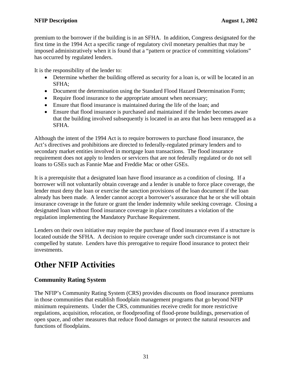<span id="page-34-0"></span>premium to the borrower if the building is in an SFHA. In addition, Congress designated for the first time in the 1994 Act a specific range of regulatory civil monetary penalties that may be imposed administratively when it is found that a "pattern or practice of committing violations" has occurred by regulated lenders.

It is the responsibility of the lender to:

- Determine whether the building offered as security for a loan is, or will be located in an SFHA;
- Document the determination using the Standard Flood Hazard Determination Form;
- Require flood insurance to the appropriate amount when necessary;
- Ensure that flood insurance is maintained during the life of the loan; and
- Ensure that flood insurance is purchased and maintained if the lender becomes aware that the building involved subsequently is located in an area that has been remapped as a SFHA.

Although the intent of the 1994 Act is to require borrowers to purchase flood insurance, the Act's directives and prohibitions are directed to federally-regulated primary lenders and to secondary market entities involved in mortgage loan transactions. The flood insurance requirement does not apply to lenders or servicers that are not federally regulated or do not sell loans to GSEs such as Fannie Mae and Freddie Mac or other GSEs.

It is a prerequisite that a designated loan have flood insurance as a condition of closing. If a borrower will not voluntarily obtain coverage and a lender is unable to force place coverage, the lender must deny the loan or exercise the sanction provisions of the loan document if the loan already has been made. A lender cannot accept a borrower's assurance that he or she will obtain insurance coverage in the future or grant the lender indemnity while seeking coverage. Closing a designated loan without flood insurance coverage in place constitutes a violation of the regulation implementing the Mandatory Purchase Requirement.

Lenders on their own initiative may require the purchase of flood insurance even if a structure is located outside the SFHA. A decision to require coverage under such circumstance is not compelled by statute. Lenders have this prerogative to require flood insurance to protect their investments.

### **Other NFIP Activities**

### **Community Rating System**

The NFIP's Community Rating System (CRS) provides discounts on flood insurance premiums in those communities that establish floodplain management programs that go beyond NFIP minimum requirements. Under the CRS, communities receive credit for more restrictive regulations, acquisition, relocation, or floodproofing of flood-prone buildings, preservation of open space, and other measures that reduce flood damages or protect the natural resources and functions of floodplains.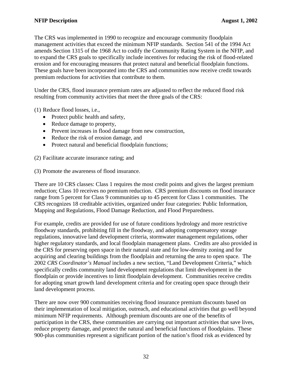The CRS was implemented in 1990 to recognize and encourage community floodplain management activities that exceed the minimum NFIP standards. Section 541 of the 1994 Act amends Section 1315 of the 1968 Act to codify the Community Rating System in the NFIP, and to expand the CRS goals to specifically include incentives for reducing the risk of flood-related erosion and for encouraging measures that protect natural and beneficial floodplain functions. These goals have been incorporated into the CRS and communities now receive credit towards premium reductions for activities that contribute to them.

Under the CRS, flood insurance premium rates are adjusted to reflect the reduced flood risk resulting from community activities that meet the three goals of the CRS:

(1) Reduce flood losses, i.e.,

- Protect public health and safety,
- Reduce damage to property,
- Prevent increases in flood damage from new construction,
- Reduce the risk of erosion damage, and
- Protect natural and beneficial floodplain functions:

(2) Facilitate accurate insurance rating; and

(3) Promote the awareness of flood insurance.

There are 10 CRS classes: Class 1 requires the most credit points and gives the largest premium reduction; Class 10 receives no premium reduction. CRS premium discounts on flood insurance range from 5 percent for Class 9 communities up to 45 percent for Class 1 communities. The CRS recognizes 18 creditable activities, organized under four categories: Public Information, Mapping and Regulations, Flood Damage Reduction, and Flood Preparedness.

For example, credits are provided for use of future conditions hydrology and more restrictive floodway standards, prohibiting fill in the floodway, and adopting compensatory storage regulations, innovative land development criteria, stormwater management regulations, other higher regulatory standards, and local floodplain management plans. Credits are also provided in the CRS for preserving open space in their natural state and for low-density zoning and for acquiring and clearing buildings from the floodplain and returning the area to open space. The 2002 *CRS Coordinator's Manual* includes a new section, "Land Development Criteria," which specifically credits community land development regulations that limit development in the floodplain or provide incentives to limit floodplain development. Communities receive credits for adopting smart growth land development criteria and for creating open space through their land development process.

There are now over 900 communities receiving flood insurance premium discounts based on their implementation of local mitigation, outreach, and educational activities that go well beyond minimum NFIP requirements. Although premium discounts are one of the benefits of participation in the CRS, these communities are carrying out important activities that save lives, reduce property damage, and protect the natural and beneficial functions of floodplains. These 900-plus communities represent a significant portion of the nation's flood risk as evidenced by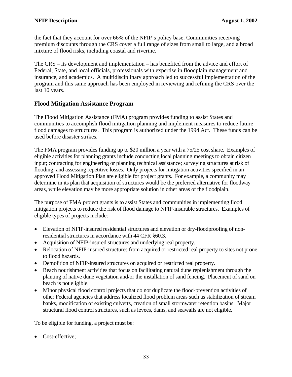<span id="page-36-0"></span>the fact that they account for over 66% of the NFIP's policy base. Communities receiving premium discounts through the CRS cover a full range of sizes from small to large, and a broad mixture of flood risks, including coastal and riverine.

The CRS – its development and implementation – has benefited from the advice and effort of Federal, State, and local officials, professionals with expertise in floodplain management and insurance, and academics. A multidisciplinary approach led to successful implementation of the program and this same approach has been employed in reviewing and refining the CRS over the last 10 years.

### **Flood Mitigation Assistance Program**

The Flood Mitigation Assistance (FMA) program provides funding to assist States and communities to accomplish flood mitigation planning and implement measures to reduce future flood damages to structures. This program is authorized under the 1994 Act. These funds can be used before disaster strikes.

The FMA program provides funding up to \$20 million a year with a 75/25 cost share. Examples of eligible activities for planning grants include conducting local planning meetings to obtain citizen input; contracting for engineering or planning technical assistance; surveying structures at risk of flooding; and assessing repetitive losses. Only projects for mitigation activities specified in an approved Flood Mitigation Plan are eligible for project grants. For example, a community may determine in its plan that acquisition of structures would be the preferred alternative for floodway areas, while elevation may be more appropriate solution in other areas of the floodplain.

The purpose of FMA project grants is to assist States and communities in implementing flood mitigation projects to reduce the risk of flood damage to NFIP-insurable structures. Examples of eligible types of projects include:

- Elevation of NFIP-insured residential structures and elevation or dry-floodproofing of nonresidential structures in accordance with 44 CFR §60.3.
- Acquisition of NFIP-insured structures and underlying real property.
- Relocation of NFIP-insured structures from acquired or restricted real property to sites not prone to flood hazards.
- Demolition of NFIP-insured structures on acquired or restricted real property.
- Beach nourishment activities that focus on facilitating natural dune replenishment through the planting of native dune vegetation and/or the installation of sand fencing. Placement of sand on beach is not eligible.
- Minor physical flood control projects that do not duplicate the flood-prevention activities of other Federal agencies that address localized flood problem areas such as stabilization of stream banks, modification of existing culverts, creation of small stormwater retention basins. Major structural flood control structures, such as levees, dams, and seawalls are not eligible.

To be eligible for funding, a project must be:

• Cost-effective;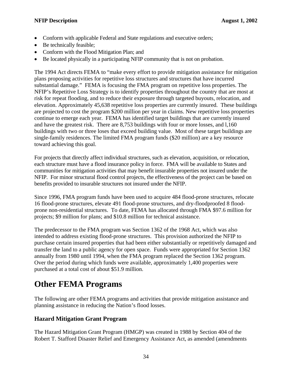- <span id="page-37-0"></span>• Conform with applicable Federal and State regulations and executive orders;
- Be technically feasible;
- Conform with the Flood Mitigation Plan; and
- Be located physically in a participating NFIP community that is not on probation.

The 1994 Act directs FEMA to "make every effort to provide mitigation assistance for mitigation plans proposing activities for repetitive loss structures and structures that have incurred substantial damage." FEMA is focusing the FMA program on repetitive loss properties. The NFIP's Repetitive Loss Strategy is to identify properties throughout the country that are most at risk for repeat flooding, and to reduce their exposure through targeted buyouts, relocation, and elevation. Approximately 45,638 repetitive loss properties are currently insured. These buildings are projected to cost the program \$200 million per year in claims. New repetitive loss properties continue to emerge each year. FEMA has identified target buildings that are currently insured and have the greatest risk. There are 8,753 buildings with four or more losses, and l,160 buildings with two or three loses that exceed building value. Most of these target buildings are single-family residences. The limited FMA program funds (\$20 million) are a key resource toward achieving this goal.

For projects that directly affect individual structures, such as elevation, acquisition, or relocation, each structure must have a flood insurance policy in force. FMA will be available to States and communities for mitigation activities that may benefit insurable properties not insured under the NFIP. For minor structural flood control projects, the effectiveness of the project can be based on benefits provided to insurable structures not insured under the NFIP.

Since 1996, FMA program funds have been used to acquire 484 flood-prone structures, relocate 16 flood-prone structures, elevate 491 flood-prone structures, and dry-floodproofed 8 floodprone non-residential structures. To date, FEMA has allocated through FMA \$97.6 million for projects; \$9 million for plans; and \$10.8 million for technical assistance.

The predecessor to the FMA program was Section 1362 of the 1968 Act, which was also intended to address existing flood-prone structures. This provision authorized the NFIP to purchase certain insured properties that had been either substantially or repetitively damaged and transfer the land to a public agency for open space. Funds were appropriated for Section 1362 annually from 1980 until 1994, when the FMA program replaced the Section 1362 program. Over the period during which funds were available, approximately 1,400 properties were purchased at a total cost of about \$51.9 million.

### **Other FEMA Programs**

The following are other FEMA programs and activities that provide mitigation assistance and planning assistance in reducing the Nation's flood losses.

### **Hazard Mitigation Grant Program**

The Hazard Mitigation Grant Program (HMGP) was created in 1988 by Section 404 of the Robert T. Stafford Disaster Relief and Emergency Assistance Act, as amended (amendments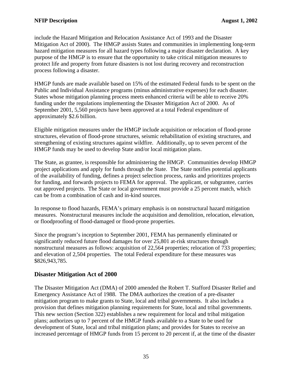<span id="page-38-0"></span>include the Hazard Mitigation and Relocation Assistance Act of 1993 and the Disaster Mitigation Act of 2000). The HMGP assists States and communities in implementing long-term hazard mitigation measures for all hazard types following a major disaster declaration. A key purpose of the HMGP is to ensure that the opportunity to take critical mitigation measures to protect life and property from future disasters is not lost during recovery and reconstruction process following a disaster.

HMGP funds are made available based on 15% of the estimated Federal funds to be spent on the Public and Individual Assistance programs (minus administrative expenses) for each disaster. States whose mitigation planning process meets enhanced criteria will be able to receive 20% funding under the regulations implementing the Disaster Mitigation Act of 2000. As of September 2001, 5,560 projects have been approved at a total Federal expenditure of approximately \$2.6 billion.

Eligible mitigation measures under the HMGP include acquisition or relocation of flood-prone structures, elevation of flood-prone structures, seismic rehabilitation of existing structures, and strengthening of existing structures against wildfire. Additionally, up to seven percent of the HMGP funds may be used to develop State and/or local mitigation plans.

The State, as grantee, is responsible for administering the HMGP. Communities develop HMGP project applications and apply for funds through the State. The State notifies potential applicants of the availability of funding, defines a project selection process, ranks and prioritizes projects for funding, and forwards projects to FEMA for approval. The applicant, or subgrantee, carries out approved projects. The State or local government must provide a 25 percent match, which can be from a combination of cash and in-kind sources.

In response to flood hazards, FEMA's primary emphasis is on nonstructural hazard mitigation measures. Nonstructural measures include the acquisition and demolition, relocation, elevation, or floodproofing of flood-damaged or flood-prone properties.

Since the program's inception to September 2001, FEMA has permanently eliminated or significantly reduced future flood damages for over 25,801 at-risk structures through nonstructural measures as follows: acquisition of 22,564 properties; relocation of 733 properties; and elevation of 2,504 properties. The total Federal expenditure for these measures was \$826,943,785.

### **Disaster Mitigation Act of 2000**

The Disaster Mitigation Act (DMA) of 2000 amended the Robert T. Stafford Disaster Relief and Emergency Assistance Act of 1988. The DMA authorizes the creation of a pre-disaster mitigation program to make grants to State, local and tribal governments. It also includes a provision that defines mitigation planning requirements for State, local and tribal governments. This new section (Section 322) establishes a new requirement for local and tribal mitigation plans; authorizes up to 7 percent of the HMGP funds available to a State to be used for development of State, local and tribal mitigation plans; and provides for States to receive an increased percentage of HMGP funds from 15 percent to 20 percent if, at the time of the disaster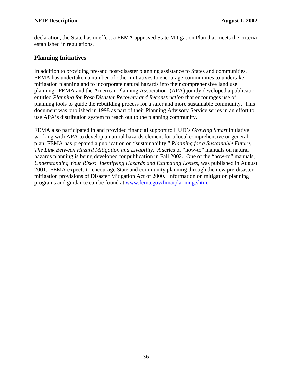<span id="page-39-0"></span>declaration, the State has in effect a FEMA approved State Mitigation Plan that meets the criteria established in regulations.

### **Planning Initiatives**

In addition to providing pre-and post-disaster planning assistance to States and communities, FEMA has undertaken a number of other initiatives to encourage communities to undertake mitigation planning and to incorporate natural hazards into their comprehensive land use planning. FEMA and the American Planning Association (APA) jointly developed a publication entitled *Planning for Post-Disaster Recovery and Reconstruction* that encourages use of planning tools to guide the rebuilding process for a safer and more sustainable community. This document was published in 1998 as part of their Planning Advisory Service series in an effort to use APA's distribution system to reach out to the planning community.

FEMA also participated in and provided financial support to HUD's *Growing Smart* initiative working with APA to develop a natural hazards element for a local comprehensive or general plan. FEMA has prepared a publication on "sustainability," *Planning for a Sustainable Future, The Link Between Hazard Mitigation and Livability. A* series of "how-to" manuals on natural hazards planning is being developed for publication in Fall 2002. One of the "how-to" manuals, *Understanding Your Risks: Identifying Hazards and Estimating Losses*, was published in August 2001. FEMA expects to encourage State and community planning through the new pre-disaster mitigation provisions of Disaster Mitigation Act of 2000. Information on mitigation planning programs and guidance can be found at [www.fema.gov/fima/planning.shtm.](http://www.fema.gov/fima/planning.shtm)